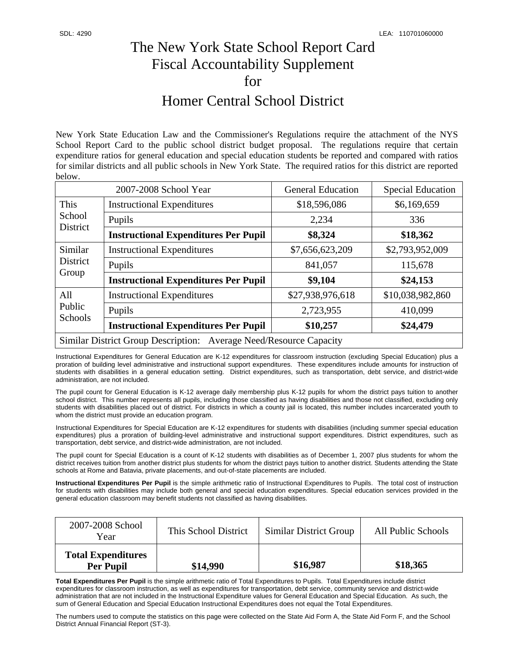## The New York State School Report Card Fiscal Accountability Supplement for Homer Central School District

New York State Education Law and the Commissioner's Regulations require the attachment of the NYS School Report Card to the public school district budget proposal. The regulations require that certain expenditure ratios for general education and special education students be reported and compared with ratios for similar districts and all public schools in New York State. The required ratios for this district are reported below.

| 2007-2008 School Year                                              |                                             | <b>General Education</b> | <b>Special Education</b> |  |
|--------------------------------------------------------------------|---------------------------------------------|--------------------------|--------------------------|--|
| This<br>School<br>District                                         | <b>Instructional Expenditures</b>           | \$18,596,086             | \$6,169,659              |  |
|                                                                    | Pupils                                      | 2,234                    | 336                      |  |
|                                                                    | <b>Instructional Expenditures Per Pupil</b> | \$8,324                  | \$18,362                 |  |
| Similar<br>District<br>Group                                       | <b>Instructional Expenditures</b>           | \$7,656,623,209          | \$2,793,952,009          |  |
|                                                                    | Pupils                                      | 841,057                  | 115,678                  |  |
|                                                                    | <b>Instructional Expenditures Per Pupil</b> | \$9,104                  | \$24,153                 |  |
| All<br>Public<br>Schools                                           | <b>Instructional Expenditures</b>           | \$27,938,976,618         | \$10,038,982,860         |  |
|                                                                    | Pupils                                      | 2,723,955                | 410,099                  |  |
|                                                                    | <b>Instructional Expenditures Per Pupil</b> | \$10,257                 | \$24,479                 |  |
| Similar District Group Description: Average Need/Resource Capacity |                                             |                          |                          |  |

Instructional Expenditures for General Education are K-12 expenditures for classroom instruction (excluding Special Education) plus a proration of building level administrative and instructional support expenditures. These expenditures include amounts for instruction of students with disabilities in a general education setting. District expenditures, such as transportation, debt service, and district-wide administration, are not included.

The pupil count for General Education is K-12 average daily membership plus K-12 pupils for whom the district pays tuition to another school district. This number represents all pupils, including those classified as having disabilities and those not classified, excluding only students with disabilities placed out of district. For districts in which a county jail is located, this number includes incarcerated youth to whom the district must provide an education program.

Instructional Expenditures for Special Education are K-12 expenditures for students with disabilities (including summer special education expenditures) plus a proration of building-level administrative and instructional support expenditures. District expenditures, such as transportation, debt service, and district-wide administration, are not included.

The pupil count for Special Education is a count of K-12 students with disabilities as of December 1, 2007 plus students for whom the district receives tuition from another district plus students for whom the district pays tuition to another district. Students attending the State schools at Rome and Batavia, private placements, and out-of-state placements are included.

**Instructional Expenditures Per Pupil** is the simple arithmetic ratio of Instructional Expenditures to Pupils. The total cost of instruction for students with disabilities may include both general and special education expenditures. Special education services provided in the general education classroom may benefit students not classified as having disabilities.

| 2007-2008 School<br>Year                      | This School District | <b>Similar District Group</b> | All Public Schools |
|-----------------------------------------------|----------------------|-------------------------------|--------------------|
| <b>Total Expenditures</b><br><b>Per Pupil</b> | \$14,990             | \$16,987                      | \$18,365           |

**Total Expenditures Per Pupil** is the simple arithmetic ratio of Total Expenditures to Pupils. Total Expenditures include district expenditures for classroom instruction, as well as expenditures for transportation, debt service, community service and district-wide administration that are not included in the Instructional Expenditure values for General Education and Special Education. As such, the sum of General Education and Special Education Instructional Expenditures does not equal the Total Expenditures.

The numbers used to compute the statistics on this page were collected on the State Aid Form A, the State Aid Form F, and the School District Annual Financial Report (ST-3).